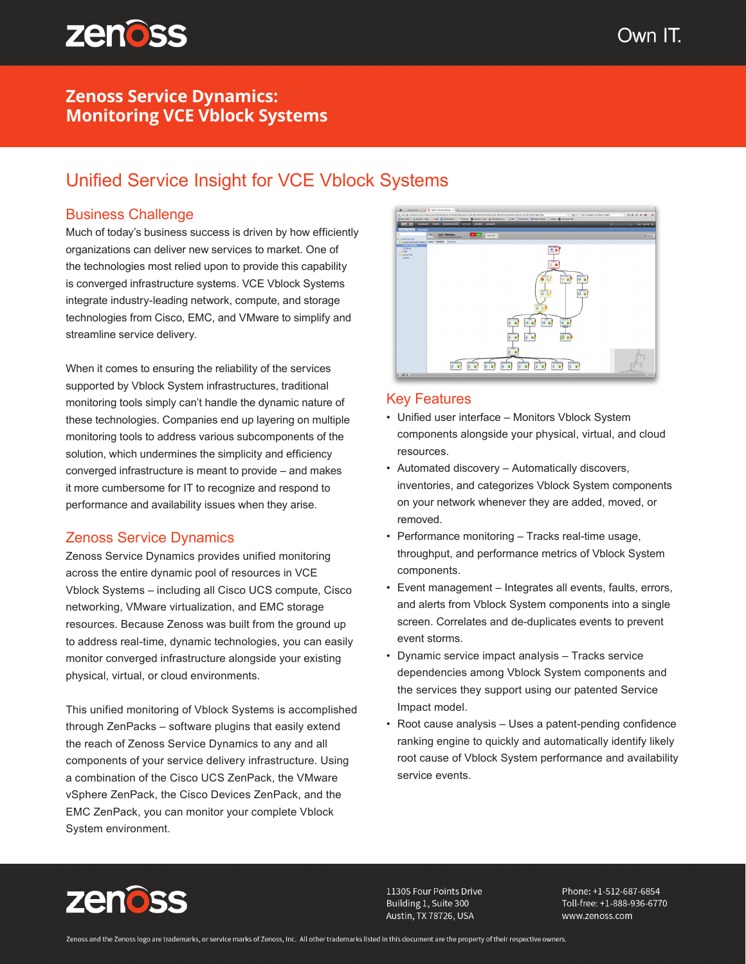

## **Zenoss Service Dynamics: Monitoring VCE Vblock Systems**

# Unified Service Insight for VCE Vblock Systems

## Business Challenge

Much of today's business success is driven by how efficiently organizations can deliver new services to market. One of the technologies most relied upon to provide this capability is converged infrastructure systems. VCE Vblock Systems integrate industry-leading network, compute, and storage technologies from Cisco, EMC, and VMware to simplify and streamline service delivery.

When it comes to ensuring the reliability of the services supported by Vblock System infrastructures, traditional monitoring tools simply can't handle the dynamic nature of these technologies. Companies end up layering on multiple monitoring tools to address various subcomponents of the solution, which undermines the simplicity and efficiency converged infrastructure is meant to provide – and makes it more cumbersome for IT to recognize and respond to performance and availability issues when they arise.

## Zenoss Service Dynamics

Zenoss Service Dynamics provides unified monitoring across the entire dynamic pool of resources in VCE Vblock Systems – including all Cisco UCS compute, Cisco networking, VMware virtualization, and EMC storage resources. Because Zenoss was built from the ground up to address real-time, dynamic technologies, you can easily monitor converged infrastructure alongside your existing physical, virtual, or cloud environments.

This unified monitoring of Vblock Systems is accomplished through ZenPacks – software plugins that easily extend the reach of Zenoss Service Dynamics to any and all components of your service delivery infrastructure. Using a combination of the Cisco UCS ZenPack, the VMware vSphere ZenPack, the Cisco Devices ZenPack, and the EMC ZenPack, you can monitor your complete Vblock System environment.



#### Key Features

- Unified user interface Monitors Vblock System components alongside your physical, virtual, and cloud resources.
- Automated discovery Automatically discovers, inventories, and categorizes Vblock System components on your network whenever they are added, moved, or removed.
- Performance monitoring Tracks real-time usage, throughput, and performance metrics of Vblock System components.
- Event management Integrates all events, faults, errors, and alerts from Vblock System components into a single screen. Correlates and de-duplicates events to prevent event storms.
- Dynamic service impact analysis Tracks service dependencies among Vblock System components and the services they support using our patented Service Impact model.
- Root cause analysis Uses a patent-pending confidence ranking engine to quickly and automatically identify likely root cause of Vblock System performance and availability service events.



11305 Four Points Drive Building 1, Suite 300 Austin, TX 78726, USA

Phone: +1-512-687-6854 Toll-free: +1-888-936-6770 www.zenoss.com